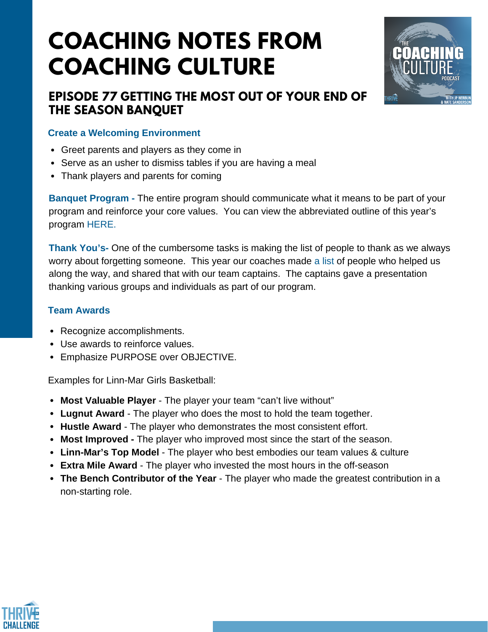# **COACHING NOTES FROM COACHING CULTURE**



### **EPISODE 77 GETTING THE MOST OUT OF YOUR END OF THE SEASON BANQUET**

#### **Create a Welcoming Environment**

- Greet parents and players as they come in
- Serve as an usher to dismiss tables if you are having a meal
- Thank players and parents for coming

**Banquet Program -** The entire program should communicate what it means to be part of your program and reinforce your core values. You can view the abbreviated outline of this year's program [HERE.](https://docs.google.com/document/d/12gWe20km36pvZ2SMKFXih8CSuy_sYSqn8IRFevS4NQk/edit)

**Thank You's-** One of the cumbersome tasks is making the list of people to thank as we always worry about forgetting someone. This year our coaches made a [list](https://docs.google.com/spreadsheets/d/1f0Y5Wc3VNvH1NrCaGy7_7qQHVvPfK0YwbKerJS6ADD0/edit?usp=sharing) of people who helped us along the way, and shared that with our team captains. The captains gave a presentation thanking various groups and individuals as part of our program.

#### **Team Awards**

- Recognize accomplishments.
- Use awards to reinforce values.
- Emphasize PURPOSE over OBJECTIVE.

Examples for Linn-Mar Girls Basketball:

- **Most Valuable Player** The player your team "can't live without"
- **Lugnut Award** The player who does the most to hold the team together.
- **Hustle Award** The player who demonstrates the most consistent effort.
- **Most Improved -** The player who improved most since the start of the season.
- **Linn-Mar's Top Model** The player who best embodies our team values & culture
- **Extra Mile Award** The player who invested the most hours in the off-season
- **The Bench Contributor of the Year** The player who made the greatest contribution in a non-starting role.

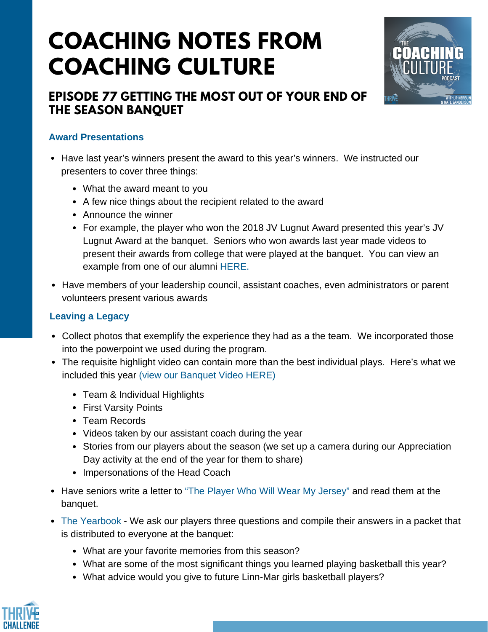# **COACHING NOTES FROM COACHING CULTURE**



### **EPISODE 77 GETTING THE MOST OUT OF YOUR END OF THE SEASON BANQUET**

#### **Award Presentations**

- Have last year's winners present the award to this year's winners. We instructed our presenters to cover three things:
	- What the award meant to you
	- A few nice things about the recipient related to the award
	- Announce the winner
	- For example, the player who won the 2018 JV Lugnut Award presented this year's JV Lugnut Award at the banquet. Seniors who won awards last year made videos to present their awards from college that were played at the banquet. You can view an example from one of our alumni [HERE.](https://www.youtube.com/watch?v=yf2vmVUk_Oc&feature=youtu.be)
- Have members of your leadership council, assistant coaches, even administrators or parent volunteers present various awards

#### **Leaving a Legacy**

- Collect photos that exemplify the experience they had as a the team. We incorporated those into the powerpoint we used during the program.
- The requisite highlight video can contain more than the best individual plays. Here's what we included this year (view our [Banquet](https://www.youtube.com/watch?v=pm0uu9bOfV8&feature=youtu.be) Video HERE)
	- Team & Individual Highlights
	- First Varsity Points
	- Team Records
	- Videos taken by our assistant coach during the year
	- Stories from our players about the season (we set up a camera during our Appreciation Day activity at the end of the year for them to share)
	- Impersonations of the Head Coach
- Have seniors write a letter to "The Player Who Will Wear My [Jersey"](https://twitter.com/LinnMarGBB/status/1103362151861940225?s=19) and read them at the banquet.
- The [Yearbook](https://docs.google.com/document/d/15eMUUOPbMRsz36FAzNmP5YllIk3dWMF180g3efjL1MU/edit) We ask our players three questions and compile their answers in a packet that is distributed to everyone at the banquet:
	- What are your favorite memories from this season?
	- What are some of the most significant things you learned playing basketball this year?
	- What advice would you give to future Linn-Mar girls basketball players?